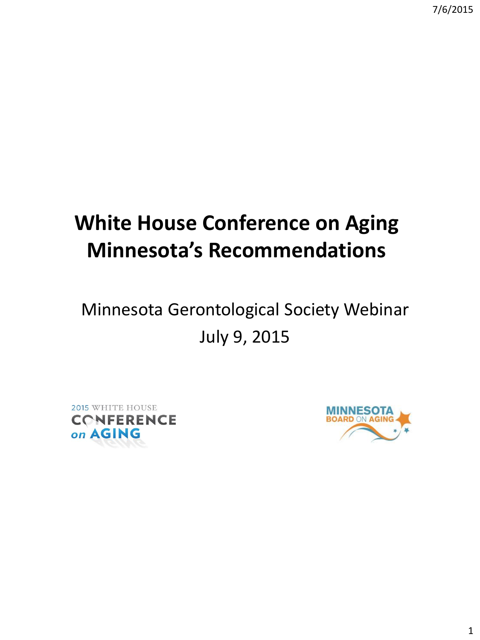# **White House Conference on Aging Minnesota's Recommendations**

## Minnesota Gerontological Society Webinar July 9, 2015



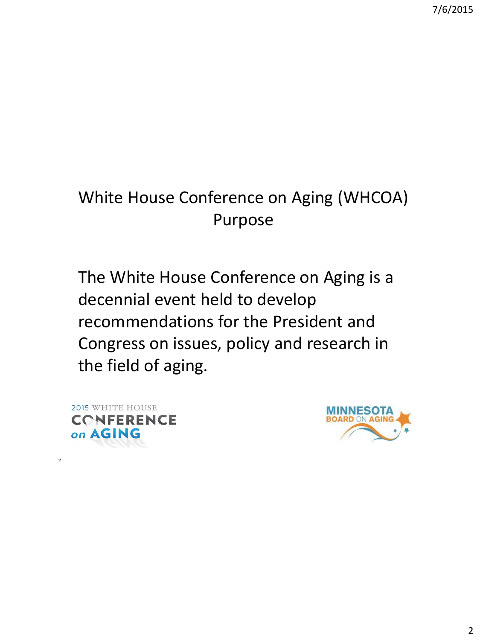#### White House Conference on Aging (WHCOA) Purpose

The White House Conference on Aging is a decennial event held to develop recommendations for the President and Congress on issues, policy and research in the field of aging.



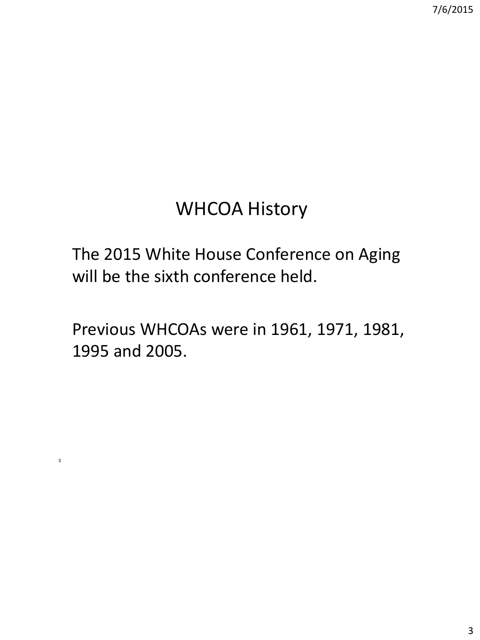### WHCOA History

The 2015 White House Conference on Aging will be the sixth conference held.

Previous WHCOAs were in 1961, 1971, 1981, 1995 and 2005.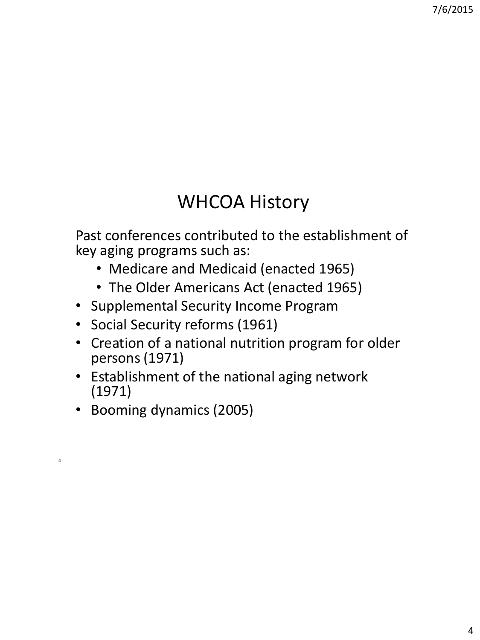## WHCOA History

Past conferences contributed to the establishment of key aging programs such as:

- Medicare and Medicaid (enacted 1965)
- The Older Americans Act (enacted 1965)
- Supplemental Security Income Program
- Social Security reforms (1961)
- Creation of a national nutrition program for older persons (1971)
- Establishment of the national aging network (1971)
- Booming dynamics (2005)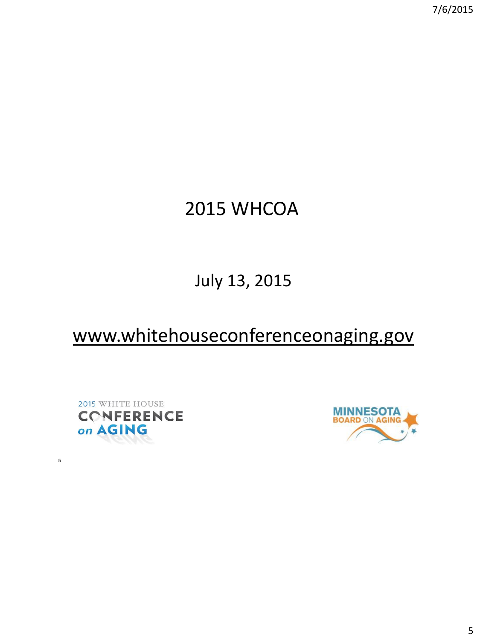## 2015 WHCOA

#### July 13, 2015

#### www.whitehouseconferenceonaging.gov



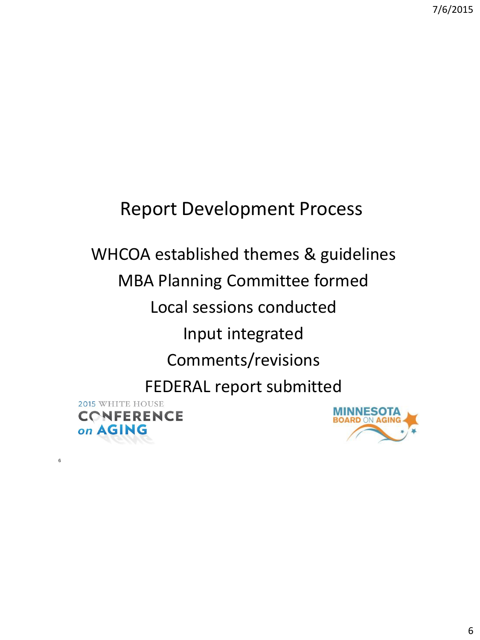#### Report Development Process

#### WHCOA established themes & guidelines MBA Planning Committee formed Local sessions conducted Input integrated Comments/revisions FEDERAL report submitted 2015 WHITE HOUSE **MINNESOTA CONFERENCE BOARD ON AGING** on AGING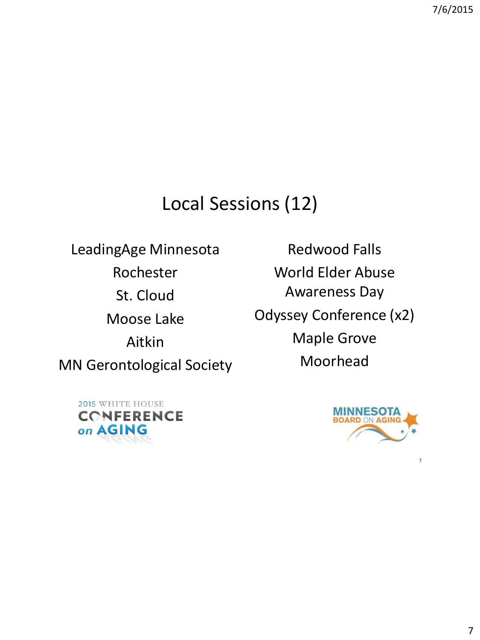#### Local Sessions (12)

LeadingAge Minnesota Rochester St. Cloud Moose Lake Aitkin MN Gerontological Society

Redwood Falls World Elder Abuse Awareness Day Odyssey Conference (x2) Maple Grove Moorhead

2015 WHITE HOUSE **CONFERENCE** on AGING

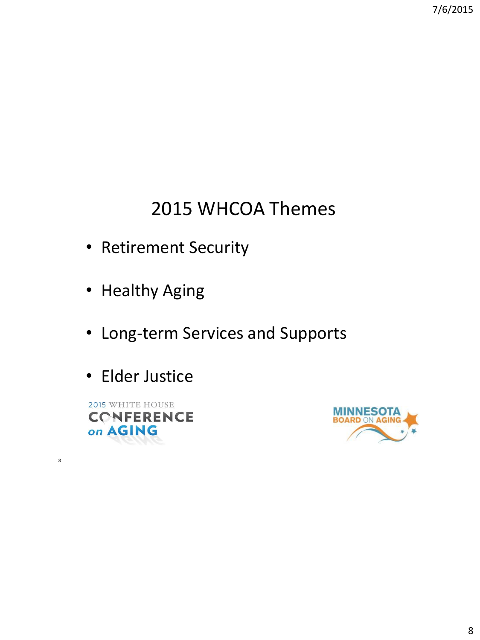## 2015 WHCOA Themes

- Retirement Security
- Healthy Aging
- Long-term Services and Supports
- Elder Justice

2015 WHITE HOUSE **CONFERENCE** on AGING

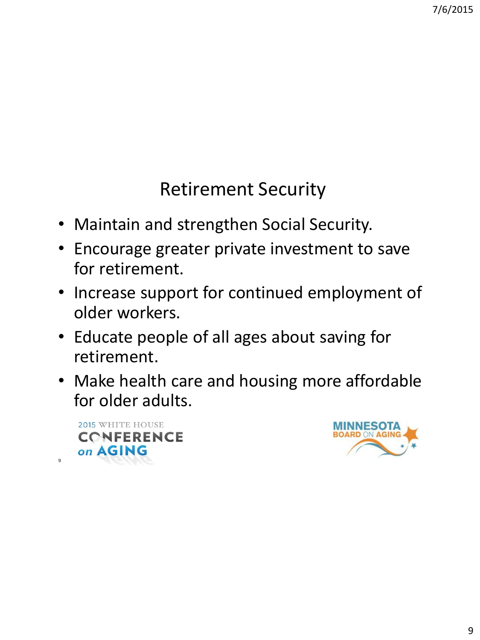## Retirement Security

- Maintain and strengthen Social Security.
- Encourage greater private investment to save for retirement.
- Increase support for continued employment of older workers.
- Educate people of all ages about saving for retirement.
- Make health care and housing more affordable for older adults.

2015 WHITE HOUSE **CONFERENCE** on AGING

 $\alpha$ 

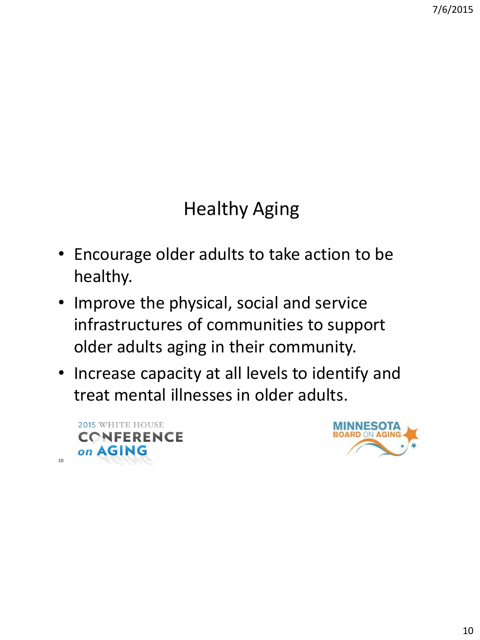## Healthy Aging

- Encourage older adults to take action to be healthy.
- Improve the physical, social and service infrastructures of communities to support older adults aging in their community.
- Increase capacity at all levels to identify and treat mental illnesses in older adults.



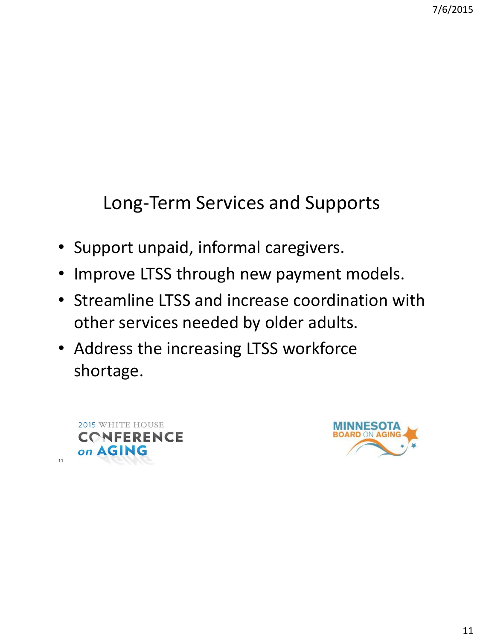## Long-Term Services and Supports

- Support unpaid, informal caregivers.
- Improve LTSS through new payment models.
- Streamline LTSS and increase coordination with other services needed by older adults.
- Address the increasing LTSS workforce shortage.



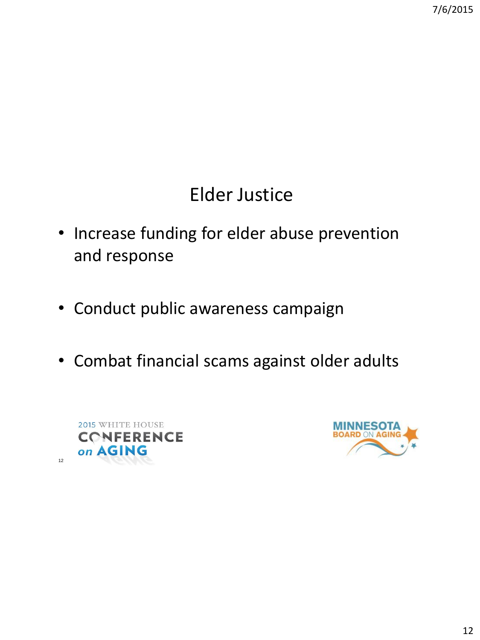## Elder Justice

- Increase funding for elder abuse prevention and response
- Conduct public awareness campaign
- Combat financial scams against older adults